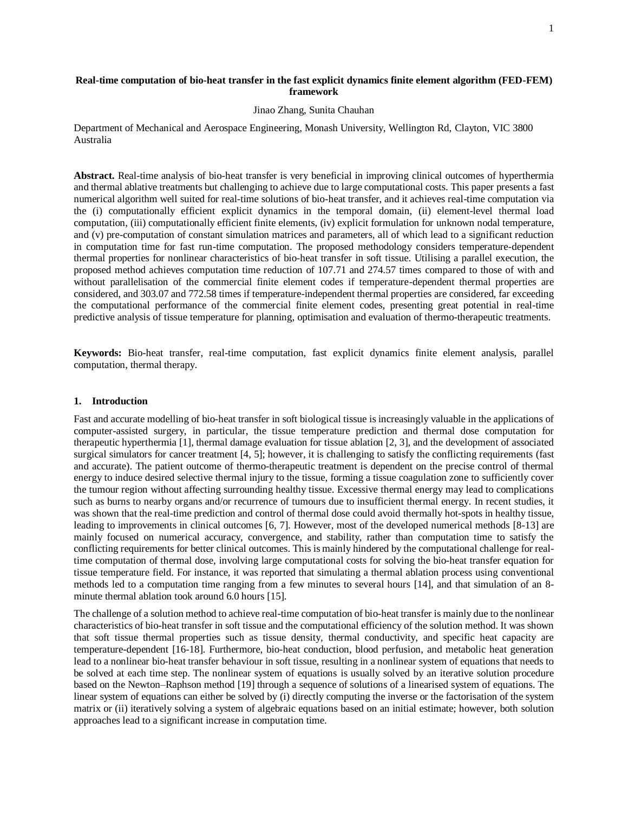# **Real-time computation of bio-heat transfer in the fast explicit dynamics finite element algorithm (FED-FEM) framework**

### Jinao Zhang, Sunita Chauhan

Department of Mechanical and Aerospace Engineering, Monash University, Wellington Rd, Clayton, VIC 3800 Australia

**Abstract.** Real-time analysis of bio-heat transfer is very beneficial in improving clinical outcomes of hyperthermia and thermal ablative treatments but challenging to achieve due to large computational costs. This paper presents a fast numerical algorithm well suited for real-time solutions of bio-heat transfer, and it achieves real-time computation via the (i) computationally efficient explicit dynamics in the temporal domain, (ii) element-level thermal load computation, (iii) computationally efficient finite elements, (iv) explicit formulation for unknown nodal temperature, and (v) pre-computation of constant simulation matrices and parameters, all of which lead to a significant reduction in computation time for fast run-time computation. The proposed methodology considers temperature-dependent thermal properties for nonlinear characteristics of bio-heat transfer in soft tissue. Utilising a parallel execution, the proposed method achieves computation time reduction of 107.71 and 274.57 times compared to those of with and without parallelisation of the commercial finite element codes if temperature-dependent thermal properties are considered, and 303.07 and 772.58 times if temperature-independent thermal properties are considered, far exceeding the computational performance of the commercial finite element codes, presenting great potential in real-time predictive analysis of tissue temperature for planning, optimisation and evaluation of thermo-therapeutic treatments.

**Keywords:** Bio-heat transfer, real-time computation, fast explicit dynamics finite element analysis, parallel computation, thermal therapy.

#### **1. Introduction**

Fast and accurate modelling of bio-heat transfer in soft biological tissue is increasingly valuable in the applications of computer-assisted surgery, in particular, the tissue temperature prediction and thermal dose computation for therapeutic hyperthermia [1], thermal damage evaluation for tissue ablation [2, 3], and the development of associated surgical simulators for cancer treatment [4, 5]; however, it is challenging to satisfy the conflicting requirements (fast and accurate). The patient outcome of thermo-therapeutic treatment is dependent on the precise control of thermal energy to induce desired selective thermal injury to the tissue, forming a tissue coagulation zone to sufficiently cover the tumour region without affecting surrounding healthy tissue. Excessive thermal energy may lead to complications such as burns to nearby organs and/or recurrence of tumours due to insufficient thermal energy. In recent studies, it was shown that the real-time prediction and control of thermal dose could avoid thermally hot-spots in healthy tissue, leading to improvements in clinical outcomes [6, 7]. However, most of the developed numerical methods [8-13] are mainly focused on numerical accuracy, convergence, and stability, rather than computation time to satisfy the conflicting requirements for better clinical outcomes. This is mainly hindered by the computational challenge for realtime computation of thermal dose, involving large computational costs for solving the bio-heat transfer equation for tissue temperature field. For instance, it was reported that simulating a thermal ablation process using conventional methods led to a computation time ranging from a few minutes to several hours [14], and that simulation of an 8 minute thermal ablation took around 6.0 hours [15].

The challenge of a solution method to achieve real-time computation of bio-heat transfer is mainly due to the nonlinear characteristics of bio-heat transfer in soft tissue and the computational efficiency of the solution method. It was shown that soft tissue thermal properties such as tissue density, thermal conductivity, and specific heat capacity are temperature-dependent [16-18]. Furthermore, bio-heat conduction, blood perfusion, and metabolic heat generation lead to a nonlinear bio-heat transfer behaviour in soft tissue, resulting in a nonlinear system of equations that needs to be solved at each time step. The nonlinear system of equations is usually solved by an iterative solution procedure based on the Newton–Raphson method [19] through a sequence of solutions of a linearised system of equations. The linear system of equations can either be solved by (i) directly computing the inverse or the factorisation of the system matrix or (ii) iteratively solving a system of algebraic equations based on an initial estimate; however, both solution approaches lead to a significant increase in computation time.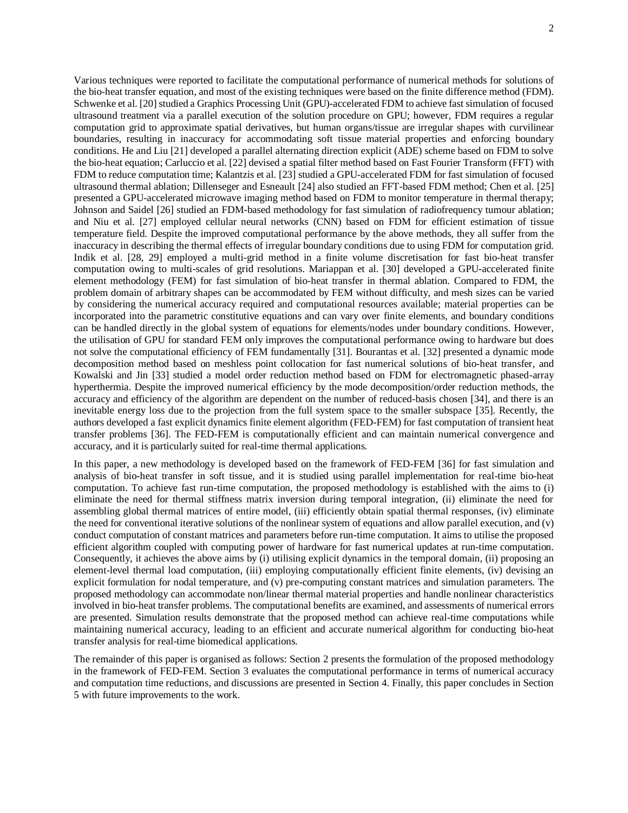Various techniques were reported to facilitate the computational performance of numerical methods for solutions of the bio-heat transfer equation, and most of the existing techniques were based on the finite difference method (FDM). Schwenke et al. [20] studied a Graphics Processing Unit (GPU)-accelerated FDM to achieve fast simulation of focused ultrasound treatment via a parallel execution of the solution procedure on GPU; however, FDM requires a regular computation grid to approximate spatial derivatives, but human organs/tissue are irregular shapes with curvilinear boundaries, resulting in inaccuracy for accommodating soft tissue material properties and enforcing boundary conditions. He and Liu [21] developed a parallel alternating direction explicit (ADE) scheme based on FDM to solve the bio-heat equation; Carluccio et al. [22] devised a spatial filter method based on Fast Fourier Transform (FFT) with FDM to reduce computation time; Kalantzis et al. [23] studied a GPU-accelerated FDM for fast simulation of focused ultrasound thermal ablation; Dillenseger and Esneault [24] also studied an FFT-based FDM method; Chen et al. [25] presented a GPU-accelerated microwave imaging method based on FDM to monitor temperature in thermal therapy; Johnson and Saidel [26] studied an FDM-based methodology for fast simulation of radiofrequency tumour ablation; and Niu et al. [27] employed cellular neural networks (CNN) based on FDM for efficient estimation of tissue temperature field. Despite the improved computational performance by the above methods, they all suffer from the inaccuracy in describing the thermal effects of irregular boundary conditions due to using FDM for computation grid. Indik et al. [28, 29] employed a multi-grid method in a finite volume discretisation for fast bio-heat transfer computation owing to multi-scales of grid resolutions. Mariappan et al. [30] developed a GPU-accelerated finite element methodology (FEM) for fast simulation of bio-heat transfer in thermal ablation. Compared to FDM, the problem domain of arbitrary shapes can be accommodated by FEM without difficulty, and mesh sizes can be varied by considering the numerical accuracy required and computational resources available; material properties can be incorporated into the parametric constitutive equations and can vary over finite elements, and boundary conditions can be handled directly in the global system of equations for elements/nodes under boundary conditions. However, the utilisation of GPU for standard FEM only improves the computational performance owing to hardware but does not solve the computational efficiency of FEM fundamentally [31]. Bourantas et al. [32] presented a dynamic mode decomposition method based on meshless point collocation for fast numerical solutions of bio-heat transfer, and Kowalski and Jin [33] studied a model order reduction method based on FDM for electromagnetic phased-array hyperthermia. Despite the improved numerical efficiency by the mode decomposition/order reduction methods, the accuracy and efficiency of the algorithm are dependent on the number of reduced-basis chosen [34], and there is an inevitable energy loss due to the projection from the full system space to the smaller subspace [35]. Recently, the authors developed a fast explicit dynamics finite element algorithm (FED-FEM) for fast computation of transient heat transfer problems [36]. The FED-FEM is computationally efficient and can maintain numerical convergence and accuracy, and it is particularly suited for real-time thermal applications.

In this paper, a new methodology is developed based on the framework of FED-FEM [36] for fast simulation and analysis of bio-heat transfer in soft tissue, and it is studied using parallel implementation for real-time bio-heat computation. To achieve fast run-time computation, the proposed methodology is established with the aims to (i) eliminate the need for thermal stiffness matrix inversion during temporal integration, (ii) eliminate the need for assembling global thermal matrices of entire model, (iii) efficiently obtain spatial thermal responses, (iv) eliminate the need for conventional iterative solutions of the nonlinear system of equations and allow parallel execution, and (v) conduct computation of constant matrices and parameters before run-time computation. It aims to utilise the proposed efficient algorithm coupled with computing power of hardware for fast numerical updates at run-time computation. Consequently, it achieves the above aims by (i) utilising explicit dynamics in the temporal domain, (ii) proposing an element-level thermal load computation, (iii) employing computationally efficient finite elements, (iv) devising an explicit formulation for nodal temperature, and (v) pre-computing constant matrices and simulation parameters. The proposed methodology can accommodate non/linear thermal material properties and handle nonlinear characteristics involved in bio-heat transfer problems. The computational benefits are examined, and assessments of numerical errors are presented. Simulation results demonstrate that the proposed method can achieve real-time computations while maintaining numerical accuracy, leading to an efficient and accurate numerical algorithm for conducting bio-heat transfer analysis for real-time biomedical applications.

The remainder of this paper is organised as follows: Section 2 presents the formulation of the proposed methodology in the framework of FED-FEM. Section 3 evaluates the computational performance in terms of numerical accuracy and computation time reductions, and discussions are presented in Section 4. Finally, this paper concludes in Section 5 with future improvements to the work.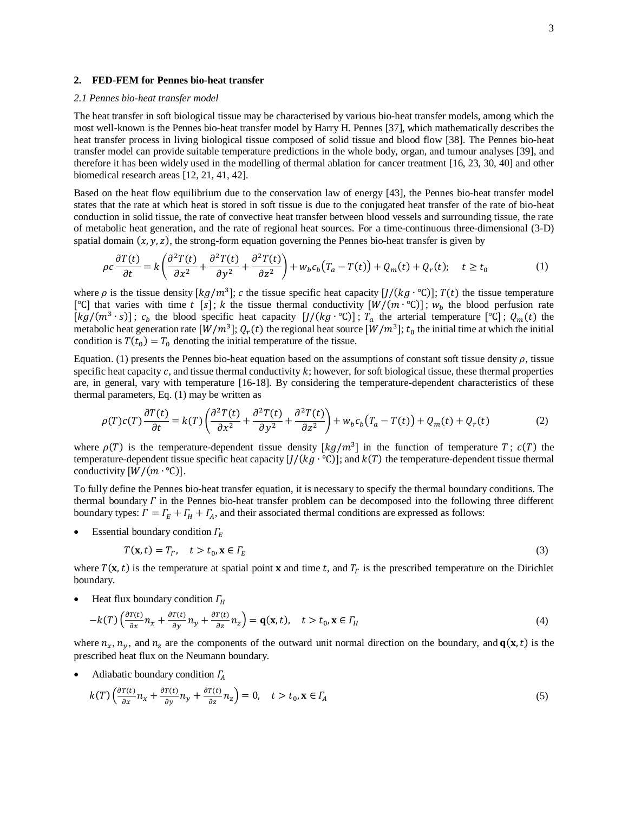#### **2. FED-FEM for Pennes bio-heat transfer**

### *2.1 Pennes bio-heat transfer model*

The heat transfer in soft biological tissue may be characterised by various bio-heat transfer models, among which the most well-known is the Pennes bio-heat transfer model by Harry H. Pennes [37], which mathematically describes the heat transfer process in living biological tissue composed of solid tissue and blood flow [38]. The Pennes bio-heat transfer model can provide suitable temperature predictions in the whole body, organ, and tumour analyses [39], and therefore it has been widely used in the modelling of thermal ablation for cancer treatment [16, 23, 30, 40] and other biomedical research areas [12, 21, 41, 42].

Based on the heat flow equilibrium due to the conservation law of energy [43], the Pennes bio-heat transfer model states that the rate at which heat is stored in soft tissue is due to the conjugated heat transfer of the rate of bio-heat conduction in solid tissue, the rate of convective heat transfer between blood vessels and surrounding tissue, the rate of metabolic heat generation, and the rate of regional heat sources. For a time-continuous three-dimensional (3-D) spatial domain  $(x, y, z)$ , the strong-form equation governing the Pennes bio-heat transfer is given by

$$
\rho c \frac{\partial T(t)}{\partial t} = k \left( \frac{\partial^2 T(t)}{\partial x^2} + \frac{\partial^2 T(t)}{\partial y^2} + \frac{\partial^2 T(t)}{\partial z^2} \right) + w_b c_b \left( T_a - T(t) \right) + Q_m(t) + Q_r(t); \quad t \ge t_0
$$
\n(1)

where  $\rho$  is the tissue density  $[kg/m^3]$ ; c the tissue specific heat capacity  $[J/(kg \cdot {}^{\circ}C)]$ ;  $T(t)$  the tissue temperature [<sup>o</sup>C] that varies with time t [s]; k the tissue thermal conductivity  $[W/(m \cdot {}^{\circ}C)]$ ;  $W_b$  the blood perfusion rate  $[kg/(m^3 \cdot s)]$ ;  $c_b$  the blood specific heat capacity  $[J/(kg \cdot {}^{\circ}C)]$ ;  $T_a$  the arterial temperature  $[{}^{\circ}C]$ ;  $Q_m(t)$  the metabolic heat generation rate  $[W/m^3]$ ;  $Q_r(t)$  the regional heat source  $[W/m^3]$ ;  $t_0$  the initial time at which the initial condition is  $T(t_0) = T_0$  denoting the initial temperature of the tissue.

Equation. (1) presents the Pennes bio-heat equation based on the assumptions of constant soft tissue density  $\rho$ , tissue specific heat capacity  $c$ , and tissue thermal conductivity  $k$ ; however, for soft biological tissue, these thermal properties are, in general, vary with temperature [16-18]. By considering the temperature-dependent characteristics of these thermal parameters, Eq. (1) may be written as

$$
\rho(T)c(T)\frac{\partial T(t)}{\partial t} = k(T)\left(\frac{\partial^2 T(t)}{\partial x^2} + \frac{\partial^2 T(t)}{\partial y^2} + \frac{\partial^2 T(t)}{\partial z^2}\right) + w_b c_b \left(T_a - T(t)\right) + Q_m(t) + Q_r(t)
$$
\n(2)

where  $\rho(T)$  is the temperature-dependent tissue density  $\left[kg/m^3\right]$  in the function of temperature T;  $c(T)$  the temperature-dependent tissue specific heat capacity  $[J/(kg \cdot ^{\circ}C)];$  and  $k(T)$  the temperature-dependent tissue thermal conductivity  $[W/(m \cdot {}^{\circ}C)].$ 

To fully define the Pennes bio-heat transfer equation, it is necessary to specify the thermal boundary conditions. The thermal boundary  $\Gamma$  in the Pennes bio-heat transfer problem can be decomposed into the following three different boundary types:  $\Gamma = \Gamma_E + \Gamma_H + \Gamma_A$ , and their associated thermal conditions are expressed as follows:

Essential boundary condition  $\Gamma_E$ 

$$
T(\mathbf{x}, t) = T_r, \quad t > t_0, \mathbf{x} \in I_E
$$
\n<sup>(3)</sup>

where  $T(\mathbf{x},t)$  is the temperature at spatial point **x** and time t, and  $T_r$  is the prescribed temperature on the Dirichlet boundary.

Heat flux boundary condition  $\Gamma_H$ 

$$
-k(T)\left(\frac{\partial T(t)}{\partial x}n_x + \frac{\partial T(t)}{\partial y}n_y + \frac{\partial T(t)}{\partial z}n_z\right) = \mathbf{q}(\mathbf{x}, t), \quad t > t_0, \mathbf{x} \in \Gamma_H
$$
\n(4)

where  $n_x$ ,  $n_y$ , and  $n_z$  are the components of the outward unit normal direction on the boundary, and  $q(x, t)$  is the prescribed heat flux on the Neumann boundary.

Adiabatic boundary condition  $\Gamma_A$ 

$$
k(T)\left(\frac{\partial T(t)}{\partial x}n_x + \frac{\partial T(t)}{\partial y}n_y + \frac{\partial T(t)}{\partial z}n_z\right) = 0, \quad t > t_0, \mathbf{x} \in \Gamma_A
$$
\n<sup>(5)</sup>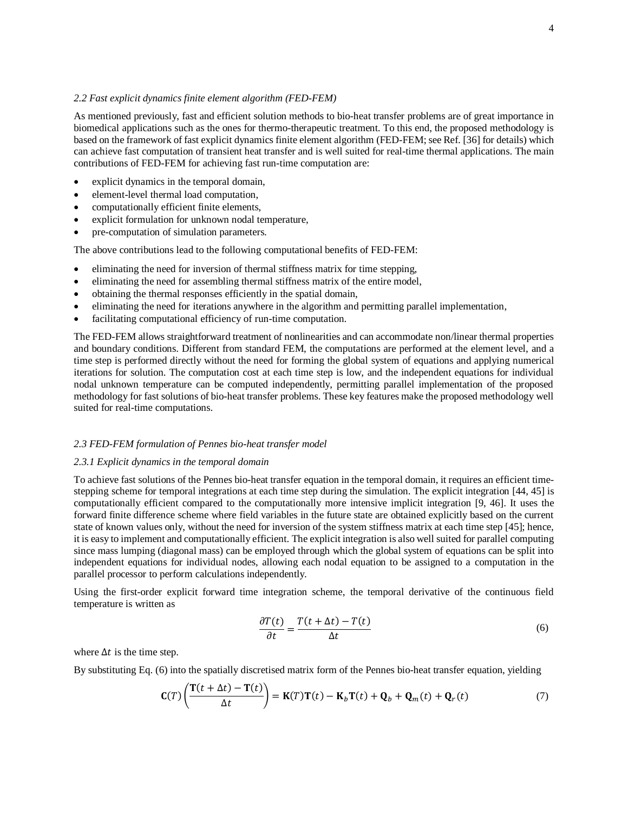### *2.2 Fast explicit dynamics finite element algorithm (FED-FEM)*

As mentioned previously, fast and efficient solution methods to bio-heat transfer problems are of great importance in biomedical applications such as the ones for thermo-therapeutic treatment. To this end, the proposed methodology is based on the framework of fast explicit dynamics finite element algorithm (FED-FEM; see Ref. [36] for details) which can achieve fast computation of transient heat transfer and is well suited for real-time thermal applications. The main contributions of FED-FEM for achieving fast run-time computation are:

- explicit dynamics in the temporal domain,
- element-level thermal load computation,
- computationally efficient finite elements,
- explicit formulation for unknown nodal temperature,
- pre-computation of simulation parameters.

The above contributions lead to the following computational benefits of FED-FEM:

- eliminating the need for inversion of thermal stiffness matrix for time stepping,
- eliminating the need for assembling thermal stiffness matrix of the entire model,
- obtaining the thermal responses efficiently in the spatial domain,
- eliminating the need for iterations anywhere in the algorithm and permitting parallel implementation,
- facilitating computational efficiency of run-time computation.

The FED-FEM allows straightforward treatment of nonlinearities and can accommodate non/linear thermal properties and boundary conditions. Different from standard FEM, the computations are performed at the element level, and a time step is performed directly without the need for forming the global system of equations and applying numerical iterations for solution. The computation cost at each time step is low, and the independent equations for individual nodal unknown temperature can be computed independently, permitting parallel implementation of the proposed methodology for fast solutions of bio-heat transfer problems. These key features make the proposed methodology well suited for real-time computations.

### *2.3 FED-FEM formulation of Pennes bio-heat transfer model*

# *2.3.1 Explicit dynamics in the temporal domain*

To achieve fast solutions of the Pennes bio-heat transfer equation in the temporal domain, it requires an efficient timestepping scheme for temporal integrations at each time step during the simulation. The explicit integration [44, 45] is computationally efficient compared to the computationally more intensive implicit integration [9, 46]. It uses the forward finite difference scheme where field variables in the future state are obtained explicitly based on the current state of known values only, without the need for inversion of the system stiffness matrix at each time step [45]; hence, it is easy to implement and computationally efficient. The explicit integration is also well suited for parallel computing since mass lumping (diagonal mass) can be employed through which the global system of equations can be split into independent equations for individual nodes, allowing each nodal equation to be assigned to a computation in the parallel processor to perform calculations independently.

Using the first-order explicit forward time integration scheme, the temporal derivative of the continuous field temperature is written as

$$
\frac{\partial T(t)}{\partial t} = \frac{T(t + \Delta t) - T(t)}{\Delta t}
$$
\n(6)

where  $\Delta t$  is the time step.

By substituting Eq. (6) into the spatially discretised matrix form of the Pennes bio-heat transfer equation, yielding

$$
\mathbf{C}(T)\left(\frac{\mathbf{T}(t+\Delta t)-\mathbf{T}(t)}{\Delta t}\right) = \mathbf{K}(T)\mathbf{T}(t) - \mathbf{K}_b\mathbf{T}(t) + \mathbf{Q}_b + \mathbf{Q}_m(t) + \mathbf{Q}_r(t)
$$
\n(7)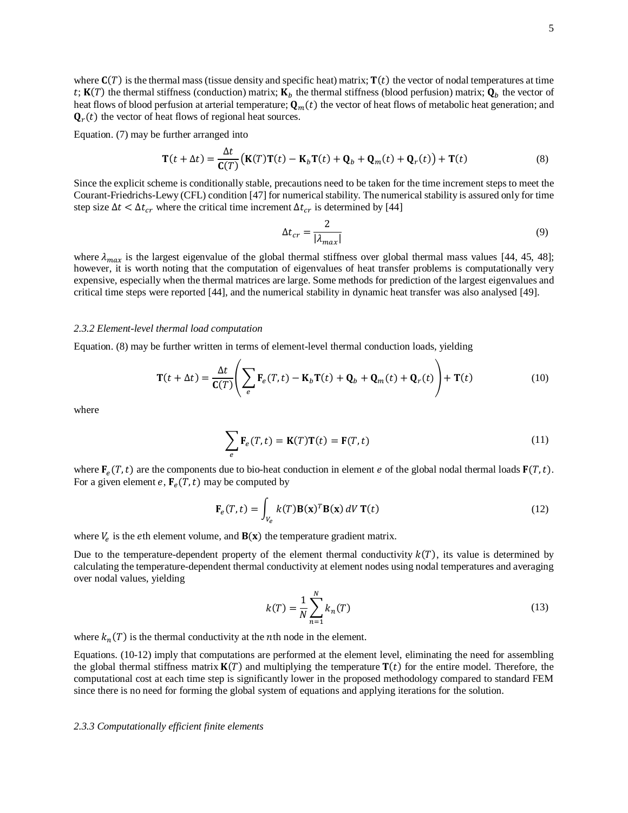Equation. (7) may be further arranged into

$$
\mathbf{T}(t + \Delta t) = \frac{\Delta t}{\mathbf{C}(T)} \big( \mathbf{K}(T)\mathbf{T}(t) - \mathbf{K}_b \mathbf{T}(t) + \mathbf{Q}_b + \mathbf{Q}_m(t) + \mathbf{Q}_r(t) \big) + \mathbf{T}(t)
$$
\n(8)

Since the explicit scheme is conditionally stable, precautions need to be taken for the time increment steps to meet the Courant-Friedrichs-Lewy (CFL) condition [47] for numerical stability. The numerical stability is assured only for time step size  $\Delta t < \Delta t_{cr}$  where the critical time increment  $\Delta t_{cr}$  is determined by [44]

$$
\Delta t_{cr} = \frac{2}{|\lambda_{max}|} \tag{9}
$$

where  $\lambda_{max}$  is the largest eigenvalue of the global thermal stiffness over global thermal mass values [44, 45, 48]; however, it is worth noting that the computation of eigenvalues of heat transfer problems is computationally very expensive, especially when the thermal matrices are large. Some methods for prediction of the largest eigenvalues and critical time steps were reported [44], and the numerical stability in dynamic heat transfer was also analysed [49].

#### *2.3.2 Element-level thermal load computation*

Equation. (8) may be further written in terms of element-level thermal conduction loads, yielding

$$
\mathbf{T}(t + \Delta t) = \frac{\Delta t}{\mathbf{C}(T)} \left( \sum_{e} \mathbf{F}_e(T, t) - \mathbf{K}_b \mathbf{T}(t) + \mathbf{Q}_b + \mathbf{Q}_m(t) + \mathbf{Q}_r(t) \right) + \mathbf{T}(t)
$$
(10)

where

$$
\sum_{e} \mathbf{F}_e(T, t) = \mathbf{K}(T)\mathbf{T}(t) = \mathbf{F}(T, t)
$$
\n(11)

where  $\mathbf{F}_e(T,t)$  are the components due to bio-heat conduction in element  $e$  of the global nodal thermal loads  $\mathbf{F}(T,t)$ . For a given element  $e$ ,  $\mathbf{F}_e(T, t)$  may be computed by

$$
\mathbf{F}_e(T, t) = \int_{V_e} k(T) \mathbf{B}(\mathbf{x})^T \mathbf{B}(\mathbf{x}) dV \mathbf{T}(t)
$$
\n(12)

where  $V_e$  is the eth element volume, and  $\mathbf{B}(\mathbf{x})$  the temperature gradient matrix.

Due to the temperature-dependent property of the element thermal conductivity  $k(T)$ , its value is determined by calculating the temperature-dependent thermal conductivity at element nodes using nodal temperatures and averaging over nodal values, yielding

$$
k(T) = \frac{1}{N} \sum_{n=1}^{N} k_n(T)
$$
\n(13)

where  $k_n(T)$  is the thermal conductivity at the *n*th node in the element.

Equations. (10-12) imply that computations are performed at the element level, eliminating the need for assembling the global thermal stiffness matrix  $K(T)$  and multiplying the temperature  $T(t)$  for the entire model. Therefore, the computational cost at each time step is significantly lower in the proposed methodology compared to standard FEM since there is no need for forming the global system of equations and applying iterations for the solution.

#### *2.3.3 Computationally efficient finite elements*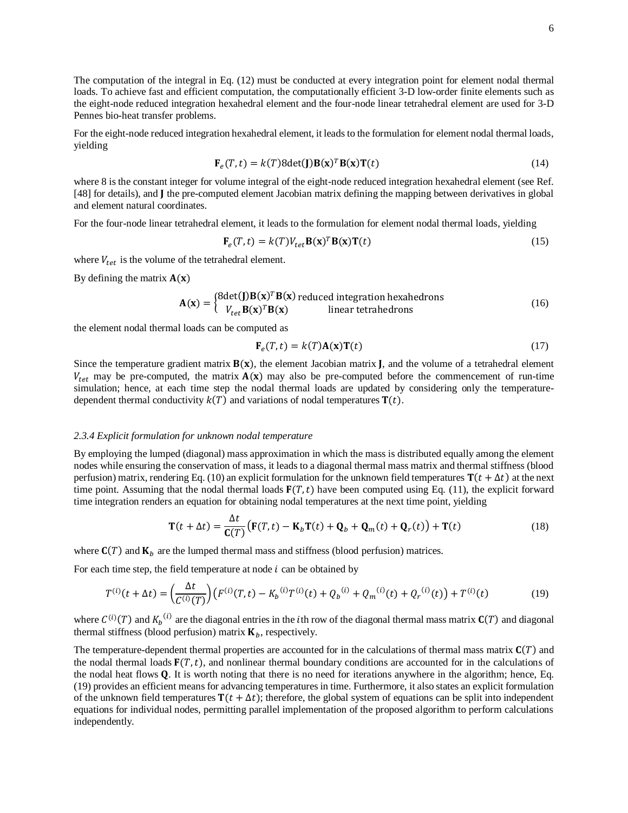The computation of the integral in Eq. (12) must be conducted at every integration point for element nodal thermal loads. To achieve fast and efficient computation, the computationally efficient 3-D low-order finite elements such as the eight-node reduced integration hexahedral element and the four-node linear tetrahedral element are used for 3-D Pennes bio-heat transfer problems.

For the eight-node reduced integration hexahedral element, it leads to the formulation for element nodal thermal loads, yielding

$$
\mathbf{F}_e(T, t) = k(T) 8 \det(\mathbf{J}) \mathbf{B}(\mathbf{x})^T \mathbf{B}(\mathbf{x}) \mathbf{T}(t)
$$
\n(14)

where 8 is the constant integer for volume integral of the eight-node reduced integration hexahedral element (see Ref. [48] for details), and **J** the pre-computed element Jacobian matrix defining the mapping between derivatives in global and element natural coordinates.

For the four-node linear tetrahedral element, it leads to the formulation for element nodal thermal loads, yielding

$$
\mathbf{F}_e(T, t) = k(T) V_{tet} \mathbf{B}(\mathbf{x})^T \mathbf{B}(\mathbf{x}) \mathbf{T}(t)
$$
\n(15)

where  $V_{tet}$  is the volume of the tetrahedral element.

By defining the matrix  $A(x)$ 

$$
\mathbf{A}(\mathbf{x}) = \begin{cases} 8 \text{det}(\mathbf{J}) \mathbf{B}(\mathbf{x})^T \mathbf{B}(\mathbf{x}) \text{ reduced integration hexahedrons} \\ V_{tet} \mathbf{B}(\mathbf{x})^T \mathbf{B}(\mathbf{x}) \text{ linear tetrahedrons} \end{cases}
$$
(16)

the element nodal thermal loads can be computed as

$$
\mathbf{F}_e(T, t) = k(T)\mathbf{A}(\mathbf{x})\mathbf{T}(t) \tag{17}
$$

Since the temperature gradient matrix  $\mathbf{B}(\mathbf{x})$ , the element Jacobian matrix J, and the volume of a tetrahedral element  $V_{tet}$  may be pre-computed, the matrix  $A(x)$  may also be pre-computed before the commencement of run-time simulation; hence, at each time step the nodal thermal loads are updated by considering only the temperaturedependent thermal conductivity  $k(T)$  and variations of nodal temperatures  $T(t)$ .

#### *2.3.4 Explicit formulation for unknown nodal temperature*

By employing the lumped (diagonal) mass approximation in which the mass is distributed equally among the element nodes while ensuring the conservation of mass, it leads to a diagonal thermal mass matrix and thermal stiffness (blood perfusion) matrix, rendering Eq. (10) an explicit formulation for the unknown field temperatures  $T(t + \Delta t)$  at the next time point. Assuming that the nodal thermal loads  $F(T, t)$  have been computed using Eq. (11), the explicit forward time integration renders an equation for obtaining nodal temperatures at the next time point, yielding

$$
\mathbf{T}(t + \Delta t) = \frac{\Delta t}{\mathbf{C}(T)} \big( \mathbf{F}(T, t) - \mathbf{K}_b \mathbf{T}(t) + \mathbf{Q}_b + \mathbf{Q}_m(t) + \mathbf{Q}_r(t) \big) + \mathbf{T}(t)
$$
(18)

where  $C(T)$  and  $K_b$  are the lumped thermal mass and stiffness (blood perfusion) matrices.

For each time step, the field temperature at node  $i$  can be obtained by

$$
T^{(i)}(t + \Delta t) = \left(\frac{\Delta t}{C^{(i)}(T)}\right) \left(F^{(i)}(T, t) - K_b^{(i)}T^{(i)}(t) + Q_b^{(i)} + Q_m^{(i)}(t) + Q_r^{(i)}(t)\right) + T^{(i)}(t)
$$
(19)

where  $C^{(i)}(T)$  and  $K_b^{(i)}$  are the diagonal entries in the *i*th row of the diagonal thermal mass matrix  $C(T)$  and diagonal thermal stiffness (blood perfusion) matrix  $K_b$ , respectively.

The temperature-dependent thermal properties are accounted for in the calculations of thermal mass matrix  $C(T)$  and the nodal thermal loads  $F(T, t)$ , and nonlinear thermal boundary conditions are accounted for in the calculations of the nodal heat flows  $Q$ . It is worth noting that there is no need for iterations anywhere in the algorithm; hence, Eq. (19) provides an efficient means for advancing temperatures in time. Furthermore, it also states an explicit formulation of the unknown field temperatures  $T(t + \Delta t)$ ; therefore, the global system of equations can be split into independent equations for individual nodes, permitting parallel implementation of the proposed algorithm to perform calculations independently.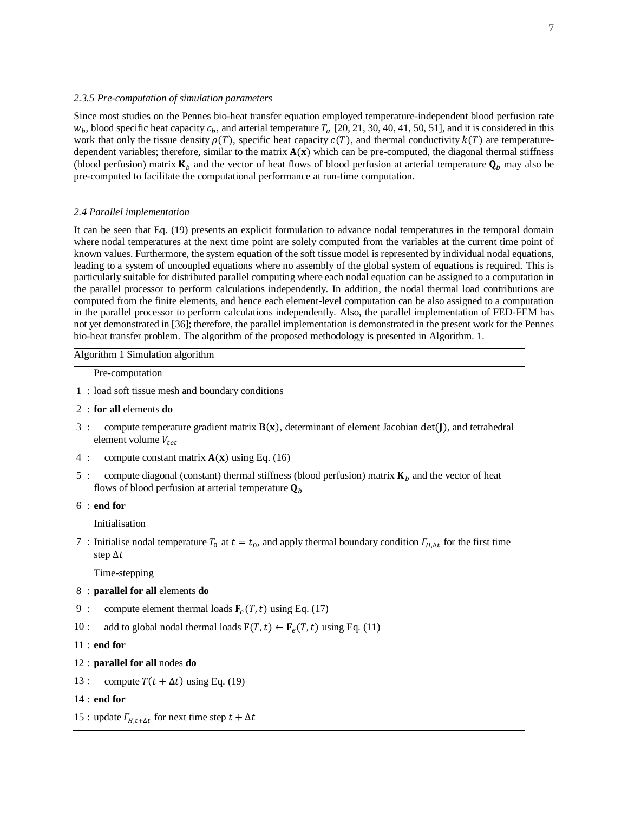## *2.3.5 Pre-computation of simulation parameters*

Since most studies on the Pennes bio-heat transfer equation employed temperature-independent blood perfusion rate  $w_b$ , blood specific heat capacity  $c_b$ , and arterial temperature  $T_a$  [20, 21, 30, 40, 41, 50, 51], and it is considered in this work that only the tissue density  $\rho(T)$ , specific heat capacity  $c(T)$ , and thermal conductivity  $k(T)$  are temperaturedependent variables; therefore, similar to the matrix  $A(x)$  which can be pre-computed, the diagonal thermal stiffness (blood perfusion) matrix  $\mathbf{K}_b$  and the vector of heat flows of blood perfusion at arterial temperature  $\mathbf{Q}_b$  may also be pre-computed to facilitate the computational performance at run-time computation.

### *2.4 Parallel implementation*

It can be seen that Eq. (19) presents an explicit formulation to advance nodal temperatures in the temporal domain where nodal temperatures at the next time point are solely computed from the variables at the current time point of known values. Furthermore, the system equation of the soft tissue model is represented by individual nodal equations, leading to a system of uncoupled equations where no assembly of the global system of equations is required. This is particularly suitable for distributed parallel computing where each nodal equation can be assigned to a computation in the parallel processor to perform calculations independently. In addition, the nodal thermal load contributions are computed from the finite elements, and hence each element-level computation can be also assigned to a computation in the parallel processor to perform calculations independently. Also, the parallel implementation of FED-FEM has not yet demonstrated in [36]; therefore, the parallel implementation is demonstrated in the present work for the Pennes bio-heat transfer problem. The algorithm of the proposed methodology is presented in Algorithm. 1.

Algorithm 1 Simulation algorithm

Pre-computation

- 1 : load soft tissue mesh and boundary conditions
- 2 : **for all** elements **do**
- 3 : compute temperature gradient matrix  $B(x)$ , determinant of element Jacobian det(J), and tetrahedral element volume  $V_{tet}$
- 4 : compute constant matrix  $A(x)$  using Eq. (16)
- 5 : compute diagonal (constant) thermal stiffness (blood perfusion) matrix  $\mathbf{K}_b$  and the vector of heat flows of blood perfusion at arterial temperature  $\mathbf{Q}_b$

### 6 : **end for**

Initialisation

7 : Initialise nodal temperature  $T_0$  at  $t = t_0$ , and apply thermal boundary condition  $\Gamma_{H,\Delta t}$  for the first time step  $\Delta t$ 

Time-stepping

- 8 : **parallel for all** elements **do**
- 9 : compute element thermal loads  $\mathbf{F}_e(T, t)$  using Eq. (17)
- 10 : add to global nodal thermal loads  $\mathbf{F}(T, t) \leftarrow \mathbf{F}_e(T, t)$  using Eq. (11)
- 11 : **end for**
- 12 : **parallel for all** nodes **do**
- 13 : compute  $T(t + \Delta t)$  using Eq. (19)
- 14 : **end for**
- 15 : update  $\Gamma_{H,t+\Delta t}$  for next time step  $t + \Delta t$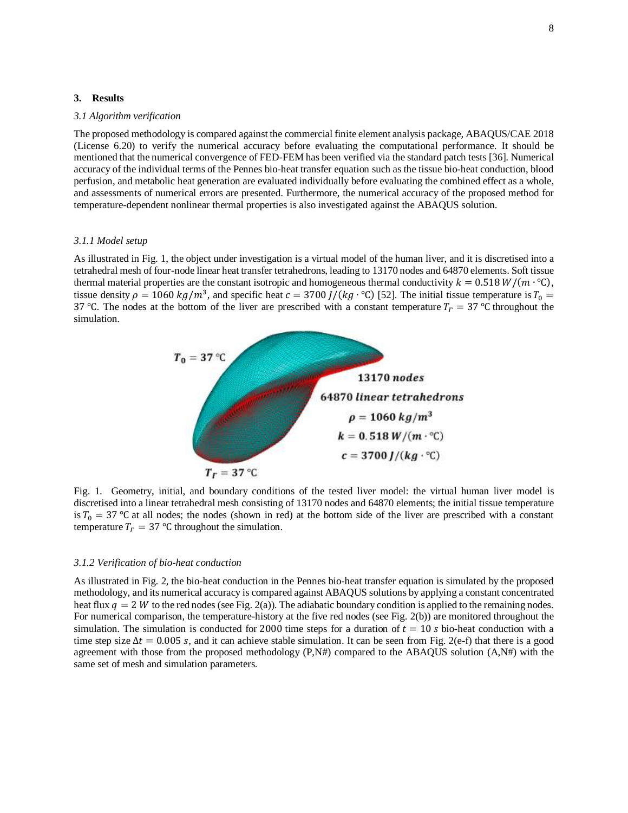### **3. Results**

#### *3.1 Algorithm verification*

The proposed methodology is compared against the commercial finite element analysis package, ABAQUS/CAE 2018 (License 6.20) to verify the numerical accuracy before evaluating the computational performance. It should be mentioned that the numerical convergence of FED-FEM has been verified via the standard patch tests [36]. Numerical accuracy of the individual terms of the Pennes bio-heat transfer equation such as the tissue bio-heat conduction, blood perfusion, and metabolic heat generation are evaluated individually before evaluating the combined effect as a whole, and assessments of numerical errors are presented. Furthermore, the numerical accuracy of the proposed method for temperature-dependent nonlinear thermal properties is also investigated against the ABAQUS solution.

#### *3.1.1 Model setup*

As illustrated in Fig. 1, the object under investigation is a virtual model of the human liver, and it is discretised into a tetrahedral mesh of four-node linear heat transfer tetrahedrons, leading to 13170 nodes and 64870 elements. Soft tissue thermal material properties are the constant isotropic and homogeneous thermal conductivity  $k = 0.518 W/(m \cdot °C)$ , tissue density  $\rho = 1060 \ kg/m^3$ , and specific heat  $c = 3700 \ J/(kg \cdot ^{\circ}C)$  [52]. The initial tissue temperature is  $T_0 =$ 37 °C. The nodes at the bottom of the liver are prescribed with a constant temperature  $T_r = 37$  °C throughout the simulation.



Fig. 1. Geometry, initial, and boundary conditions of the tested liver model: the virtual human liver model is discretised into a linear tetrahedral mesh consisting of 13170 nodes and 64870 elements; the initial tissue temperature is  $T_0 = 37$  °C at all nodes; the nodes (shown in red) at the bottom side of the liver are prescribed with a constant temperature  $T_{\text{r}} = 37$  °C throughout the simulation.

#### *3.1.2 Verification of bio-heat conduction*

As illustrated in Fig. 2, the bio-heat conduction in the Pennes bio-heat transfer equation is simulated by the proposed methodology, and its numerical accuracy is compared against ABAQUS solutions by applying a constant concentrated heat flux  $q = 2 W$  to the red nodes (see Fig. 2(a)). The adiabatic boundary condition is applied to the remaining nodes. For numerical comparison, the temperature-history at the five red nodes (see Fig. 2(b)) are monitored throughout the simulation. The simulation is conducted for 2000 time steps for a duration of  $t = 10$  s bio-heat conduction with a time step size  $\Delta t = 0.005$  s, and it can achieve stable simulation. It can be seen from Fig. 2(e-f) that there is a good agreement with those from the proposed methodology  $(P,N#)$  compared to the ABAQUS solution  $(A,N#)$  with the same set of mesh and simulation parameters.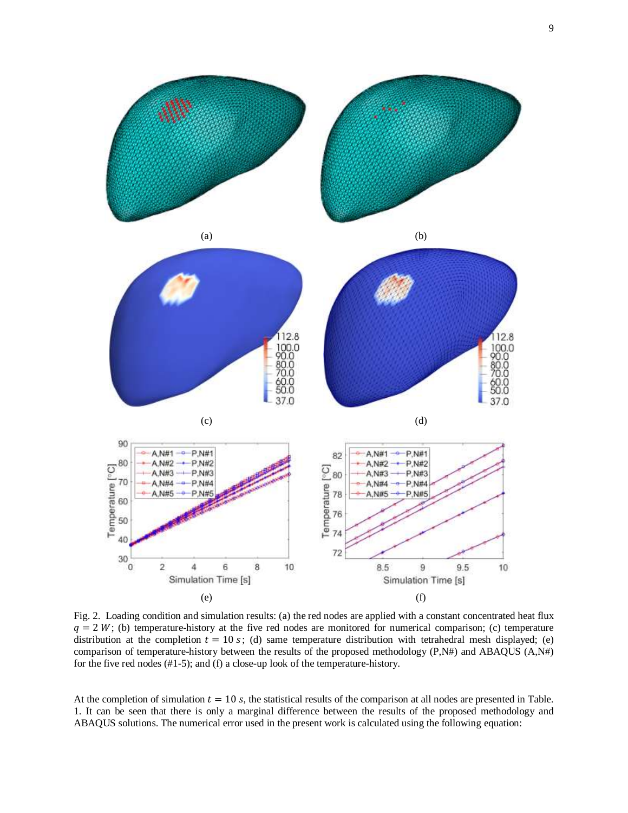

Fig. 2. Loading condition and simulation results: (a) the red nodes are applied with a constant concentrated heat flux  $q = 2 W$ ; (b) temperature-history at the five red nodes are monitored for numerical comparison; (c) temperature distribution at the completion  $t = 10 s$ ; (d) same temperature distribution with tetrahedral mesh displayed; (e) comparison of temperature-history between the results of the proposed methodology (P,N#) and ABAQUS (A,N#) for the five red nodes (#1-5); and (f) a close-up look of the temperature-history.

At the completion of simulation  $t = 10$  s, the statistical results of the comparison at all nodes are presented in Table. 1. It can be seen that there is only a marginal difference between the results of the proposed methodology and ABAQUS solutions. The numerical error used in the present work is calculated using the following equation: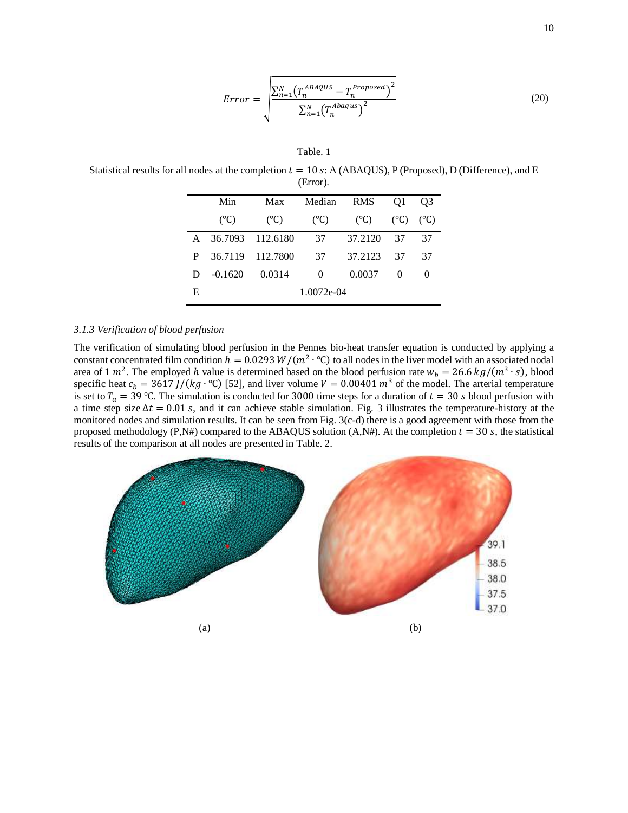$$
Error = \sqrt{\frac{\sum_{n=1}^{N} (T_n^{ABAQUS} - T_n^{Proposed})^2}{\sum_{n=1}^{N} (T_n^{Abaqus})^2}}
$$
(20)

# Table. 1

Statistical results for all nodes at the completion  $t = 10$  s: A (ABAQUS), P (Proposed), D (Difference), and E (Error).

|   | Min           | Max              | Median         | <b>RMS</b>     | O1            | O3            |  |  |
|---|---------------|------------------|----------------|----------------|---------------|---------------|--|--|
|   | $(^{\circ}C)$ | $(^{\circ}C)$    | $(C^{\circ}C)$ | $(C^{\circ}C)$ | $(^{\circ}C)$ | $(^{\circ}C)$ |  |  |
| A |               | 36.7093 112.6180 | 37             | 37.2120        | 37            | 37            |  |  |
| P |               | 36.7119 112.7800 | 37             | 37.2123        | 37            | 37            |  |  |
|   | $-0.1620$     | 0.0314           | $\Omega$       | 0.0037         | $\theta$      |               |  |  |
| E | 1.0072e-04    |                  |                |                |               |               |  |  |
|   |               |                  |                |                |               |               |  |  |

## *3.1.3 Verification of blood perfusion*

The verification of simulating blood perfusion in the Pennes bio-heat transfer equation is conducted by applying a constant concentrated film condition  $h = 0.0293 W/(m^2 \cdot {}^{\circ}C)$  to all nodes in the liver model with an associated nodal area of 1  $m^2$ . The employed h value is determined based on the blood perfusion rate  $w_b = 26.6 \frac{kg}{m^3 \cdot s}$ , blood specific heat  $c_b = 3617 \text{ J/(kg} \cdot {}^{\circ}\text{C})$  [52], and liver volume  $V = 0.00401 \text{ m}^3$  of the model. The arterial temperature is set to  $T_a = 39$  °C. The simulation is conducted for 3000 time steps for a duration of  $t = 30$  s blood perfusion with a time step size  $\Delta t = 0.01$  s, and it can achieve stable simulation. Fig. 3 illustrates the temperature-history at the monitored nodes and simulation results. It can be seen from Fig. 3(c-d) there is a good agreement with those from the proposed methodology (P,N#) compared to the ABAQUS solution (A,N#). At the completion  $t = 30$  s, the statistical results of the comparison at all nodes are presented in Table. 2.

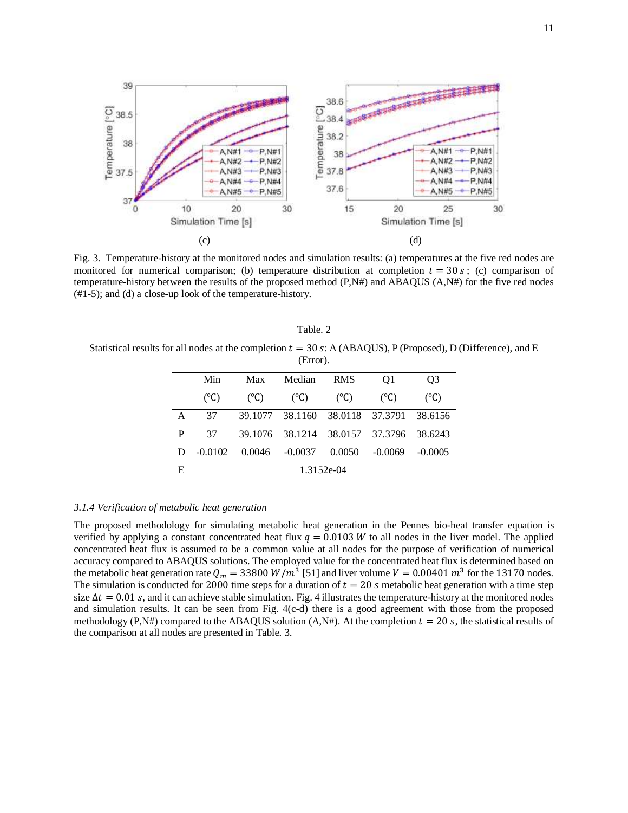

Fig. 3. Temperature-history at the monitored nodes and simulation results: (a) temperatures at the five red nodes are monitored for numerical comparison; (b) temperature distribution at completion  $t = 30 s$ ; (c) comparison of temperature-history between the results of the proposed method (P,N#) and ABAQUS (A,N#) for the five red nodes (#1-5); and (d) a close-up look of the temperature-history.

| Table. 2                                                                                                        |   |               |               |               |                         |               |                |  |  |
|-----------------------------------------------------------------------------------------------------------------|---|---------------|---------------|---------------|-------------------------|---------------|----------------|--|--|
| Statistical results for all nodes at the completion $t = 30$ s: A (ABAQUS), P (Proposed), D (Difference), and E |   |               |               | (Error).      |                         |               |                |  |  |
|                                                                                                                 |   | Min           | Max           | Median        | <b>RMS</b>              | $\Omega$ 1    | O <sub>3</sub> |  |  |
|                                                                                                                 |   | $(^{\circ}C)$ | $(^{\circ}C)$ | $(^{\circ}C)$ | $(^{\circ}C)$           | $(^{\circ}C)$ | $(^{\circ}C)$  |  |  |
|                                                                                                                 | A | 37            | 39.1077       |               | 38.1160 38.0118 37.3791 |               | 38.6156        |  |  |

P 37 39.1076 38.1214 38.0157 37.3796 38.6243 D -0.0102 0.0046 -0.0037 0.0050 -0.0069 -0.0005

E 1.3152e-04

# *3.1.4 Verification of metabolic heat generation*

The proposed methodology for simulating metabolic heat generation in the Pennes bio-heat transfer equation is verified by applying a constant concentrated heat flux  $q = 0.0103$  W to all nodes in the liver model. The applied concentrated heat flux is assumed to be a common value at all nodes for the purpose of verification of numerical accuracy compared to ABAQUS solutions. The employed value for the concentrated heat flux is determined based on the metabolic heat generation rate  $Q_m = 33800 \ W/m^3$  [51] and liver volume  $V = 0.00401 \ m^3$  for the 13170 nodes. The simulation is conducted for 2000 time steps for a duration of  $t = 20 s$  metabolic heat generation with a time step size  $\Delta t = 0.01$  s, and it can achieve stable simulation. Fig. 4 illustrates the temperature-history at the monitored nodes and simulation results. It can be seen from Fig. 4(c-d) there is a good agreement with those from the proposed methodology (P,N#) compared to the ABAQUS solution (A,N#). At the completion  $t = 20 s$ , the statistical results of the comparison at all nodes are presented in Table. 3.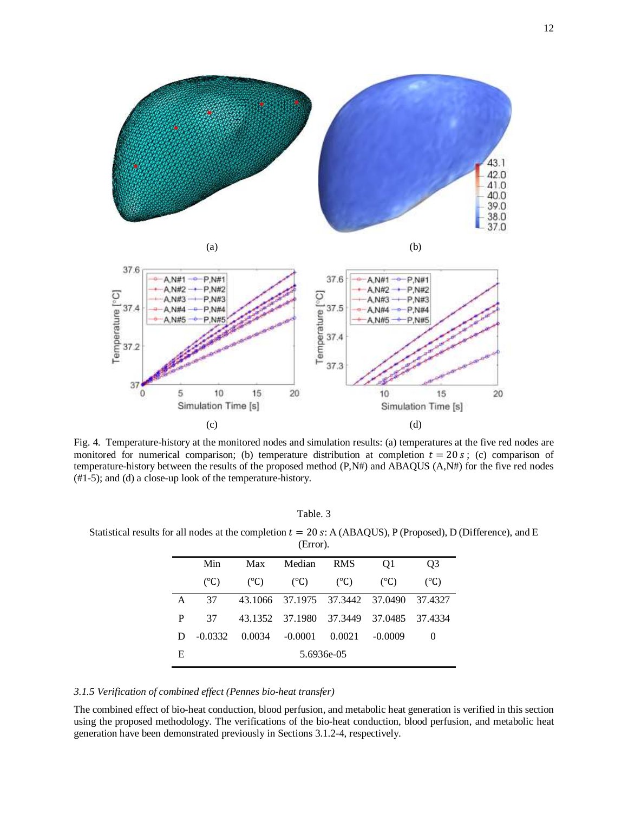

Fig. 4. Temperature-history at the monitored nodes and simulation results: (a) temperatures at the five red nodes are monitored for numerical comparison; (b) temperature distribution at completion  $t = 20 s$ ; (c) comparison of temperature-history between the results of the proposed method (P,N#) and ABAQUS (A,N#) for the five red nodes (#1-5); and (d) a close-up look of the temperature-history.

| Table |  |
|-------|--|
|-------|--|

Statistical results for all nodes at the completion  $t = 20 s$ : A (ABAQUS), P (Proposed), D (Difference), and E (Error).

|   | Min           | Max            | Median        | <b>RMS</b>                              | O1            | O3       |  |  |
|---|---------------|----------------|---------------|-----------------------------------------|---------------|----------|--|--|
|   | $(^{\circ}C)$ | $(C^{\circ}C)$ | $(^{\circ}C)$ | $(^{\circ}C)$                           | $(^{\circ}C)$ | (°C)     |  |  |
| A | 37            |                |               | 43.1066 37.1975 37.3442 37.0490 37.4327 |               |          |  |  |
| P | 37            |                |               | 43.1352 37.1980 37.3449 37.0485 37.4334 |               |          |  |  |
| D | $-0.0332$     | 0.0034         | $-0.0001$     | 0.0021                                  | $-0.0009$     | $\theta$ |  |  |
| E | 5.6936e-05    |                |               |                                         |               |          |  |  |

# *3.1.5 Verification of combined effect (Pennes bio-heat transfer)*

The combined effect of bio-heat conduction, blood perfusion, and metabolic heat generation is verified in this section using the proposed methodology. The verifications of the bio-heat conduction, blood perfusion, and metabolic heat generation have been demonstrated previously in Sections 3.1.2-4, respectively.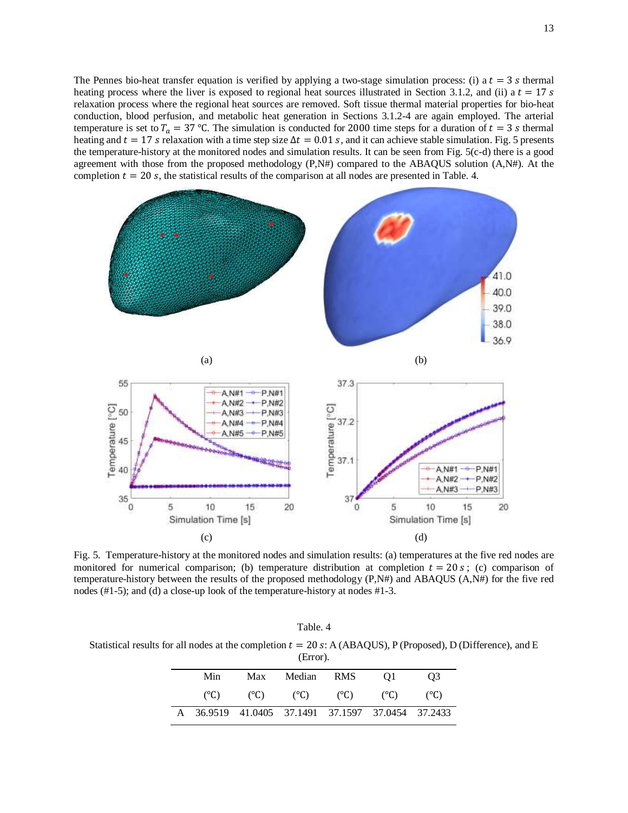The Pennes bio-heat transfer equation is verified by applying a two-stage simulation process: (i) a  $t = 3$  s thermal heating process where the liver is exposed to regional heat sources illustrated in Section 3.1.2, and (ii) a  $t = 17$  s relaxation process where the regional heat sources are removed. Soft tissue thermal material properties for bio-heat conduction, blood perfusion, and metabolic heat generation in Sections 3.1.2-4 are again employed. The arterial temperature is set to  $T_a = 37$  °C. The simulation is conducted for 2000 time steps for a duration of  $t = 3$  s thermal heating and  $t = 17$  s relaxation with a time step size  $\Delta t = 0.01$  s, and it can achieve stable simulation. Fig. 5 presents the temperature-history at the monitored nodes and simulation results. It can be seen from Fig. 5(c-d) there is a good agreement with those from the proposed methodology (P,N#) compared to the ABAQUS solution (A,N#). At the completion  $t = 20$  s, the statistical results of the comparison at all nodes are presented in Table. 4.



Fig. 5. Temperature-history at the monitored nodes and simulation results: (a) temperatures at the five red nodes are monitored for numerical comparison; (b) temperature distribution at completion  $t = 20 s$ ; (c) comparison of temperature-history between the results of the proposed methodology (P,N#) and ABAQUS (A,N#) for the five red nodes (#1-5); and (d) a close-up look of the temperature-history at nodes #1-3.

| Table, 4                                                                                                        |
|-----------------------------------------------------------------------------------------------------------------|
| Statistical results for all nodes at the completion $t = 20$ s: A (ABAQUS), P (Proposed), D (Difference), and E |
| (Error).                                                                                                        |

| Min.          | Max Median RMS |                                                         | O1 | O3             |
|---------------|----------------|---------------------------------------------------------|----|----------------|
| $(^{\circ}C)$ |                | $(^{\circ}C)$ $(^{\circ}C)$ $(^{\circ}C)$ $(^{\circ}C)$ |    | $(C^{\circ}C)$ |
|               |                | A 36.9519 41.0405 37.1491 37.1597 37.0454 37.2433       |    |                |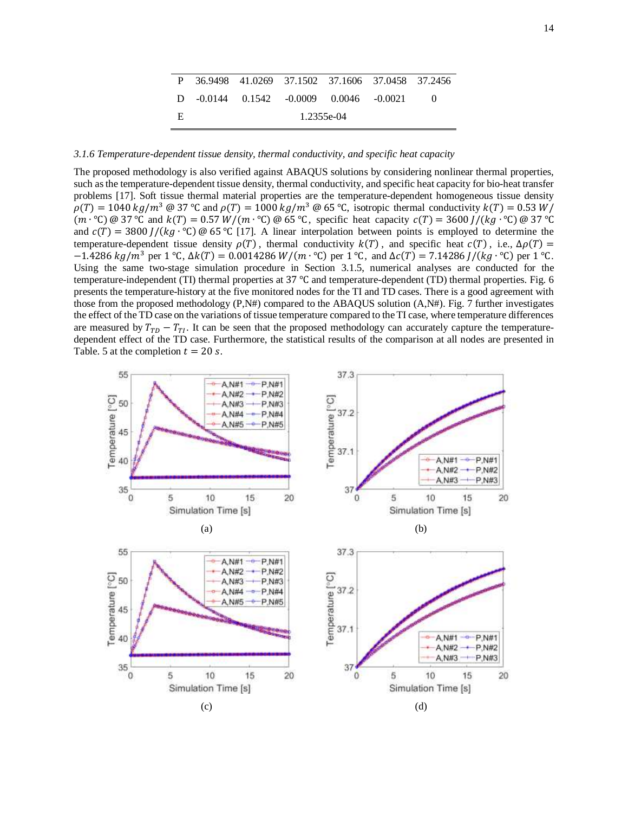| P.  |            |  |  | 36.9498 41.0269 37.1502 37.1606 37.0458 37.2456   |  |  |  |  |  |
|-----|------------|--|--|---------------------------------------------------|--|--|--|--|--|
|     |            |  |  | D $-0.0144$ $0.1542$ $-0.0009$ $0.0046$ $-0.0021$ |  |  |  |  |  |
| - E | 1.2355e-04 |  |  |                                                   |  |  |  |  |  |

# *3.1.6 Temperature-dependent tissue density, thermal conductivity, and specific heat capacity*

The proposed methodology is also verified against ABAQUS solutions by considering nonlinear thermal properties, such as the temperature-dependent tissue density, thermal conductivity, and specific heat capacity for bio-heat transfer problems [17]. Soft tissue thermal material properties are the temperature-dependent homogeneous tissue density  $\rho(T) = 1040 \text{ kg/m}^3 \text{ @ } 37 \text{ °C}$  and  $\rho(T) = 1000 \text{ kg/m}^3 \text{ @ } 65 \text{ °C}$ , isotropic thermal conductivity  $k(T) = 0.53 \text{ W/m}^3$  $(m \cdot {}^{\circ}C) \omega$  37 °C and  $k(T) = 0.57 W/(m \cdot {}^{\circ}C) \omega$  65 °C, specific heat capacity  $c(T) = 3600 J/(kg \cdot {}^{\circ}C) \omega$  37 °C and  $c(T) = 3800 \frac{J}{kg \cdot {}^{\circ}C}$  @ 65 °C [17]. A linear interpolation between points is employed to determine the temperature-dependent tissue density  $\rho(T)$ , thermal conductivity  $k(T)$ , and specific heat  $c(T)$ , i.e.,  $\Delta \rho(T)$  = −1.4286  $kg/m^3$  per 1 °C,  $\Delta k(T) = 0.0014286 W/(m \cdot {}^{\circ}C)$  per 1 °C, and  $\Delta c(T) = 7.14286 J/(kg \cdot {}^{\circ}C)$  per 1 °C. Using the same two-stage simulation procedure in Section 3.1.5, numerical analyses are conducted for the temperature-independent (TI) thermal properties at 37 ℃ and temperature-dependent (TD) thermal properties. Fig. 6 presents the temperature-history at the five monitored nodes for the TI and TD cases. There is a good agreement with those from the proposed methodology (P,N#) compared to the ABAQUS solution (A,N#). Fig. 7 further investigates the effect of the TD case on the variations of tissue temperature compared to the TI case, where temperature differences are measured by  $T_{TD} - T_{TI}$ . It can be seen that the proposed methodology can accurately capture the temperaturedependent effect of the TD case. Furthermore, the statistical results of the comparison at all nodes are presented in Table. 5 at the completion  $t = 20$  s.

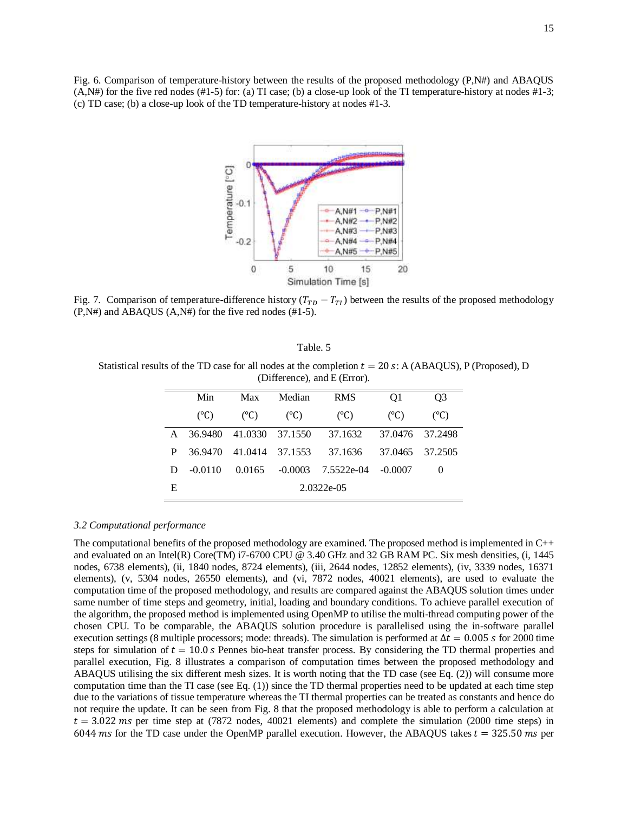Fig. 6. Comparison of temperature-history between the results of the proposed methodology (P,N#) and ABAQUS  $(A, N#)$  for the five red nodes  $(H1-5)$  for: (a) TI case; (b) a close-up look of the TI temperature-history at nodes  $H1-3$ ; (c) TD case; (b) a close-up look of the TD temperature-history at nodes #1-3.



Fig. 7. Comparison of temperature-difference history  $(T_{TD} - T_{TI})$  between the results of the proposed methodology (P,N#) and ABAQUS (A,N#) for the five red nodes (#1-5).

Table. 5

|   | Min           | Max           | Median        | <b>RMS</b>    | O1        | O3                    |
|---|---------------|---------------|---------------|---------------|-----------|-----------------------|
|   | $(^{\circ}C)$ | $(^{\circ}C)$ | $(^{\circ}C)$ | $(^{\circ}C)$ | (°C)      | $({}^{\circ}{\rm C})$ |
| A | 36.9480       | 41.0330       | 37.1550       | 37.1632       | 37.0476   | 37.2498               |
| P | 36.9470       | 41.0414       | 37.1553       | 37.1636       | 37.0465   | 37.2505               |
| Ð | $-0.0110$     | 0.0165        | $-0.0003$     | 7.5522e-04    | $-0.0007$ | $\theta$              |

E 2.0322e-05

## *3.2 Computational performance*

The computational benefits of the proposed methodology are examined. The proposed method is implemented in C++ and evaluated on an Intel(R) Core(TM) i7-6700 CPU @ 3.40 GHz and 32 GB RAM PC. Six mesh densities, (i, 1445 nodes, 6738 elements), (ii, 1840 nodes, 8724 elements), (iii, 2644 nodes, 12852 elements), (iv, 3339 nodes, 16371 elements), (v, 5304 nodes, 26550 elements), and (vi, 7872 nodes, 40021 elements), are used to evaluate the computation time of the proposed methodology, and results are compared against the ABAQUS solution times under same number of time steps and geometry, initial, loading and boundary conditions. To achieve parallel execution of the algorithm, the proposed method is implemented using OpenMP to utilise the multi-thread computing power of the chosen CPU. To be comparable, the ABAQUS solution procedure is parallelised using the in-software parallel execution settings (8 multiple processors; mode: threads). The simulation is performed at  $\Delta t = 0.005$  s for 2000 time steps for simulation of  $t = 10.0$  s Pennes bio-heat transfer process. By considering the TD thermal properties and parallel execution, Fig. 8 illustrates a comparison of computation times between the proposed methodology and ABAQUS utilising the six different mesh sizes. It is worth noting that the TD case (see Eq. (2)) will consume more computation time than the TI case (see Eq.  $(1)$ ) since the TD thermal properties need to be updated at each time step due to the variations of tissue temperature whereas the TI thermal properties can be treated as constants and hence do not require the update. It can be seen from Fig. 8 that the proposed methodology is able to perform a calculation at  $t = 3.022$  ms per time step at (7872 nodes, 40021 elements) and complete the simulation (2000 time steps) in 6044 ms for the TD case under the OpenMP parallel execution. However, the ABAQUS takes  $t = 325.50$  ms per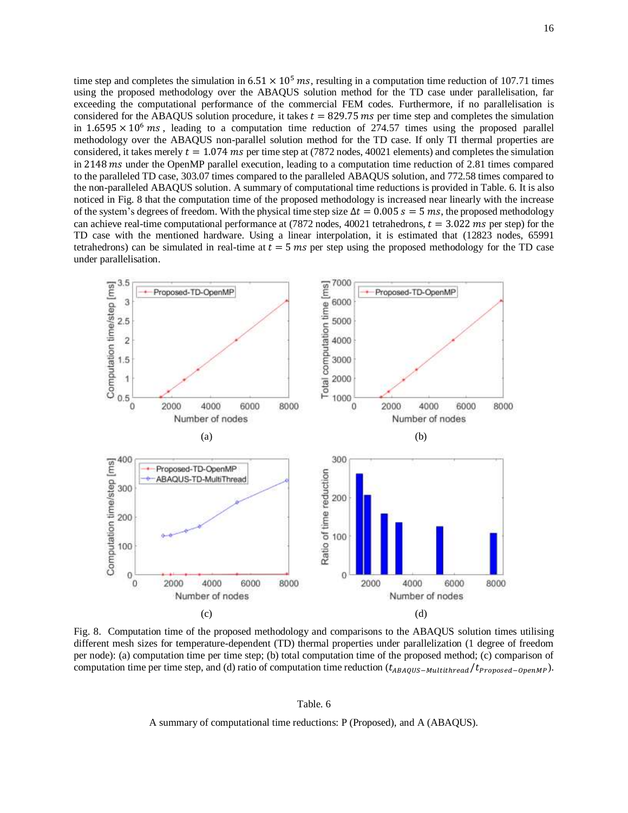time step and completes the simulation in  $6.51 \times 10^5$  ms, resulting in a computation time reduction of 107.71 times using the proposed methodology over the ABAQUS solution method for the TD case under parallelisation, far exceeding the computational performance of the commercial FEM codes. Furthermore, if no parallelisation is considered for the ABAQUS solution procedure, it takes  $t = 829.75$  ms per time step and completes the simulation in  $1.6595 \times 10^6$  ms, leading to a computation time reduction of 274.57 times using the proposed parallel methodology over the ABAQUS non-parallel solution method for the TD case. If only TI thermal properties are considered, it takes merely  $t = 1.074$  ms per time step at (7872 nodes, 40021 elements) and completes the simulation in 2148 ms under the OpenMP parallel execution, leading to a computation time reduction of 2.81 times compared to the paralleled TD case, 303.07 times compared to the paralleled ABAQUS solution, and 772.58 times compared to the non-paralleled ABAQUS solution. A summary of computational time reductions is provided in Table. 6. It is also noticed in Fig. 8 that the computation time of the proposed methodology is increased near linearly with the increase of the system's degrees of freedom. With the physical time step size  $\Delta t = 0.005 s = 5$  ms, the proposed methodology can achieve real-time computational performance at (7872 nodes, 40021 tetrahedrons,  $t = 3.022$  ms per step) for the TD case with the mentioned hardware. Using a linear interpolation, it is estimated that (12823 nodes, 65991 tetrahedrons) can be simulated in real-time at  $t = 5$  ms per step using the proposed methodology for the TD case under parallelisation.



Fig. 8. Computation time of the proposed methodology and comparisons to the ABAQUS solution times utilising different mesh sizes for temperature-dependent (TD) thermal properties under parallelization (1 degree of freedom per node): (a) computation time per time step; (b) total computation time of the proposed method; (c) comparison of computation time per time step, and (d) ratio of computation time reduction  $(t_{ABAOUS-Multithread}/t_{Proposed-OpenMP})$ .

#### Table. 6

A summary of computational time reductions: P (Proposed), and A (ABAQUS).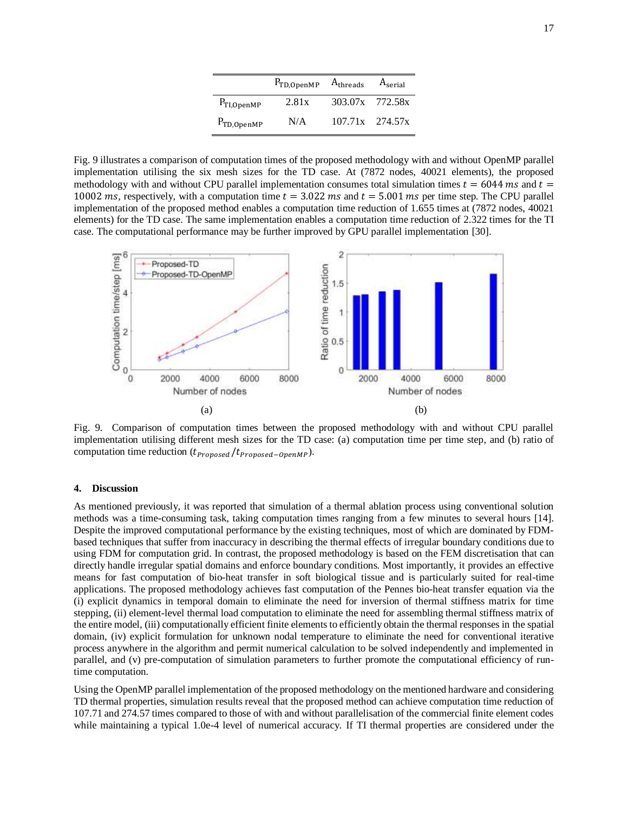|                 | $P_{TD,OpenMP}$ $A_{threads}$ $A_{serial}$ |                   |
|-----------------|--------------------------------------------|-------------------|
| $P_{TI,OpenMP}$ | 2.81x                                      | 303.07x 772.58x   |
| $P_{TD,OpenMP}$ | N/A                                        | $107.71x$ 274.57x |

Fig. 9 illustrates a comparison of computation times of the proposed methodology with and without OpenMP parallel implementation utilising the six mesh sizes for the TD case. At (7872 nodes, 40021 elements), the proposed methodology with and without CPU parallel implementation consumes total simulation times  $t = 6044$  ms and  $t =$ 10002 ms, respectively, with a computation time  $t = 3.022$  ms and  $t = 5.001$  ms per time step. The CPU parallel implementation of the proposed method enables a computation time reduction of 1.655 times at (7872 nodes, 40021 elements) for the TD case. The same implementation enables a computation time reduction of 2.322 times for the TI case. The computational performance may be further improved by GPU parallel implementation [30].



Fig. 9. Comparison of computation times between the proposed methodology with and without CPU parallel implementation utilising different mesh sizes for the TD case: (a) computation time per time step, and (b) ratio of computation time reduction  $(t_{proposed}/t_{proposed-OpenMP})$ .

## **4. Discussion**

As mentioned previously, it was reported that simulation of a thermal ablation process using conventional solution methods was a time-consuming task, taking computation times ranging from a few minutes to several hours [14]. Despite the improved computational performance by the existing techniques, most of which are dominated by FDMbased techniques that suffer from inaccuracy in describing the thermal effects of irregular boundary conditions due to using FDM for computation grid. In contrast, the proposed methodology is based on the FEM discretisation that can directly handle irregular spatial domains and enforce boundary conditions. Most importantly, it provides an effective means for fast computation of bio-heat transfer in soft biological tissue and is particularly suited for real-time applications. The proposed methodology achieves fast computation of the Pennes bio-heat transfer equation via the (i) explicit dynamics in temporal domain to eliminate the need for inversion of thermal stiffness matrix for time stepping, (ii) element-level thermal load computation to eliminate the need for assembling thermal stiffness matrix of the entire model, (iii) computationally efficient finite elements to efficiently obtain the thermal responses in the spatial domain, (iv) explicit formulation for unknown nodal temperature to eliminate the need for conventional iterative process anywhere in the algorithm and permit numerical calculation to be solved independently and implemented in parallel, and (v) pre-computation of simulation parameters to further promote the computational efficiency of runtime computation.

Using the OpenMP parallel implementation of the proposed methodology on the mentioned hardware and considering TD thermal properties, simulation results reveal that the proposed method can achieve computation time reduction of 107.71 and 274.57 times compared to those of with and without parallelisation of the commercial finite element codes while maintaining a typical 1.0e-4 level of numerical accuracy. If TI thermal properties are considered under the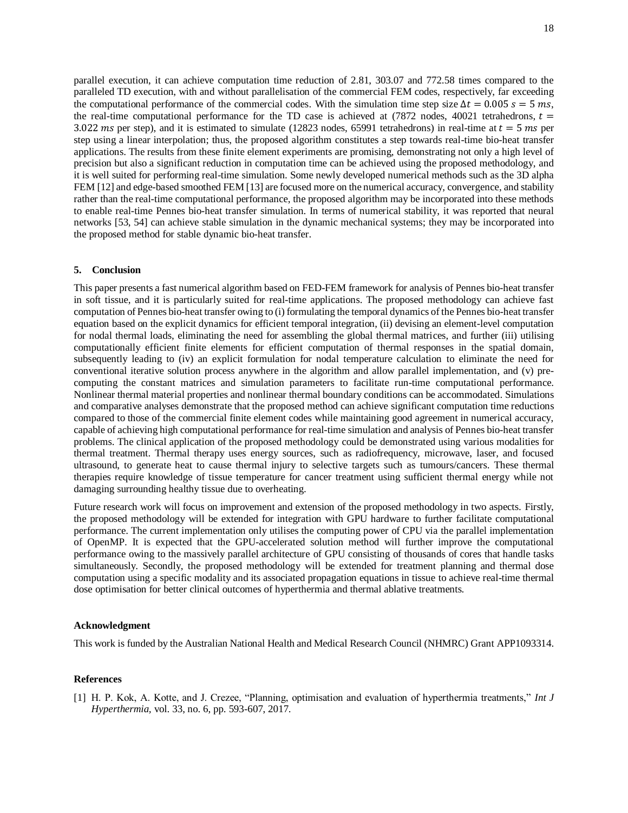parallel execution, it can achieve computation time reduction of 2.81, 303.07 and 772.58 times compared to the paralleled TD execution, with and without parallelisation of the commercial FEM codes, respectively, far exceeding the computational performance of the commercial codes. With the simulation time step size  $\Delta t = 0.005 s = 5$  ms, the real-time computational performance for the TD case is achieved at (7872 nodes, 40021 tetrahedrons,  $t =$ 3.022 ms per step), and it is estimated to simulate (12823 nodes, 65991 tetrahedrons) in real-time at  $t = 5$  ms per step using a linear interpolation; thus, the proposed algorithm constitutes a step towards real-time bio-heat transfer applications. The results from these finite element experiments are promising, demonstrating not only a high level of precision but also a significant reduction in computation time can be achieved using the proposed methodology, and it is well suited for performing real-time simulation. Some newly developed numerical methods such as the 3D alpha FEM [12] and edge-based smoothed FEM [13] are focused more on the numerical accuracy, convergence, and stability rather than the real-time computational performance, the proposed algorithm may be incorporated into these methods to enable real-time Pennes bio-heat transfer simulation. In terms of numerical stability, it was reported that neural networks [53, 54] can achieve stable simulation in the dynamic mechanical systems; they may be incorporated into the proposed method for stable dynamic bio-heat transfer.

# **5. Conclusion**

This paper presents a fast numerical algorithm based on FED-FEM framework for analysis of Pennes bio-heat transfer in soft tissue, and it is particularly suited for real-time applications. The proposed methodology can achieve fast computation of Pennes bio-heat transfer owing to (i) formulating the temporal dynamics of the Pennes bio-heat transfer equation based on the explicit dynamics for efficient temporal integration, (ii) devising an element-level computation for nodal thermal loads, eliminating the need for assembling the global thermal matrices, and further (iii) utilising computationally efficient finite elements for efficient computation of thermal responses in the spatial domain, subsequently leading to (iv) an explicit formulation for nodal temperature calculation to eliminate the need for conventional iterative solution process anywhere in the algorithm and allow parallel implementation, and (v) precomputing the constant matrices and simulation parameters to facilitate run-time computational performance. Nonlinear thermal material properties and nonlinear thermal boundary conditions can be accommodated. Simulations and comparative analyses demonstrate that the proposed method can achieve significant computation time reductions compared to those of the commercial finite element codes while maintaining good agreement in numerical accuracy, capable of achieving high computational performance for real-time simulation and analysis of Pennes bio-heat transfer problems. The clinical application of the proposed methodology could be demonstrated using various modalities for thermal treatment. Thermal therapy uses energy sources, such as radiofrequency, microwave, laser, and focused ultrasound, to generate heat to cause thermal injury to selective targets such as tumours/cancers. These thermal therapies require knowledge of tissue temperature for cancer treatment using sufficient thermal energy while not damaging surrounding healthy tissue due to overheating.

Future research work will focus on improvement and extension of the proposed methodology in two aspects. Firstly, the proposed methodology will be extended for integration with GPU hardware to further facilitate computational performance. The current implementation only utilises the computing power of CPU via the parallel implementation of OpenMP. It is expected that the GPU-accelerated solution method will further improve the computational performance owing to the massively parallel architecture of GPU consisting of thousands of cores that handle tasks simultaneously. Secondly, the proposed methodology will be extended for treatment planning and thermal dose computation using a specific modality and its associated propagation equations in tissue to achieve real-time thermal dose optimisation for better clinical outcomes of hyperthermia and thermal ablative treatments.

## **Acknowledgment**

This work is funded by the Australian National Health and Medical Research Council (NHMRC) Grant APP1093314.

## **References**

[1] H. P. Kok, A. Kotte, and J. Crezee, "Planning, optimisation and evaluation of hyperthermia treatments," *Int J Hyperthermia,* vol. 33, no. 6, pp. 593-607, 2017.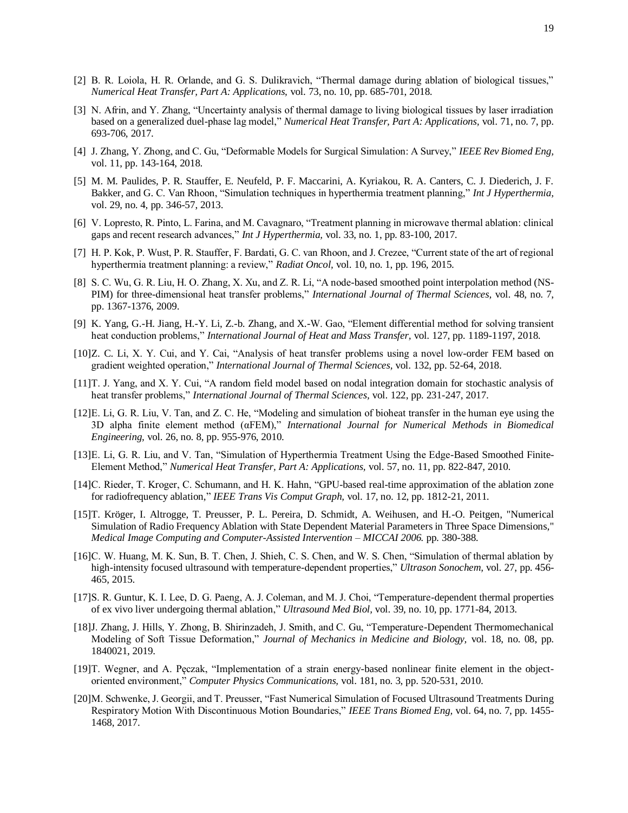- [2] B. R. Loiola, H. R. Orlande, and G. S. Dulikravich, "Thermal damage during ablation of biological tissues," *Numerical Heat Transfer, Part A: Applications,* vol. 73, no. 10, pp. 685-701, 2018.
- [3] N. Afrin, and Y. Zhang, "Uncertainty analysis of thermal damage to living biological tissues by laser irradiation based on a generalized duel-phase lag model," *Numerical Heat Transfer, Part A: Applications,* vol. 71, no. 7, pp. 693-706, 2017.
- [4] J. Zhang, Y. Zhong, and C. Gu, "Deformable Models for Surgical Simulation: A Survey," *IEEE Rev Biomed Eng,* vol. 11, pp. 143-164, 2018.
- [5] M. M. Paulides, P. R. Stauffer, E. Neufeld, P. F. Maccarini, A. Kyriakou, R. A. Canters, C. J. Diederich, J. F. Bakker, and G. C. Van Rhoon, "Simulation techniques in hyperthermia treatment planning," *Int J Hyperthermia,* vol. 29, no. 4, pp. 346-57, 2013.
- [6] V. Lopresto, R. Pinto, L. Farina, and M. Cavagnaro, "Treatment planning in microwave thermal ablation: clinical gaps and recent research advances," *Int J Hyperthermia,* vol. 33, no. 1, pp. 83-100, 2017.
- [7] H. P. Kok, P. Wust, P. R. Stauffer, F. Bardati, G. C. van Rhoon, and J. Crezee, "Current state of the art of regional hyperthermia treatment planning: a review," *Radiat Oncol,* vol. 10, no. 1, pp. 196, 2015.
- [8] S. C. Wu, G. R. Liu, H. O. Zhang, X. Xu, and Z. R. Li, "A node-based smoothed point interpolation method (NS-PIM) for three-dimensional heat transfer problems," *International Journal of Thermal Sciences,* vol. 48, no. 7, pp. 1367-1376, 2009.
- [9] K. Yang, G.-H. Jiang, H.-Y. Li, Z.-b. Zhang, and X.-W. Gao, "Element differential method for solving transient heat conduction problems," *International Journal of Heat and Mass Transfer,* vol. 127, pp. 1189-1197, 2018.
- [10]Z. C. Li, X. Y. Cui, and Y. Cai, "Analysis of heat transfer problems using a novel low-order FEM based on gradient weighted operation," *International Journal of Thermal Sciences,* vol. 132, pp. 52-64, 2018.
- [11]T. J. Yang, and X. Y. Cui, "A random field model based on nodal integration domain for stochastic analysis of heat transfer problems," *International Journal of Thermal Sciences,* vol. 122, pp. 231-247, 2017.
- [12]E. Li, G. R. Liu, V. Tan, and Z. C. He, "Modeling and simulation of bioheat transfer in the human eye using the 3D alpha finite element method (αFEM)," *International Journal for Numerical Methods in Biomedical Engineering,* vol. 26, no. 8, pp. 955-976, 2010.
- [13]E. Li, G. R. Liu, and V. Tan, "Simulation of Hyperthermia Treatment Using the Edge-Based Smoothed Finite-Element Method," *Numerical Heat Transfer, Part A: Applications,* vol. 57, no. 11, pp. 822-847, 2010.
- [14]C. Rieder, T. Kroger, C. Schumann, and H. K. Hahn, "GPU-based real-time approximation of the ablation zone for radiofrequency ablation," *IEEE Trans Vis Comput Graph,* vol. 17, no. 12, pp. 1812-21, 2011.
- [15]T. Kröger, I. Altrogge, T. Preusser, P. L. Pereira, D. Schmidt, A. Weihusen, and H.-O. Peitgen, "Numerical Simulation of Radio Frequency Ablation with State Dependent Material Parameters in Three Space Dimensions," *Medical Image Computing and Computer-Assisted Intervention – MICCAI 2006.* pp. 380-388.
- [16]C. W. Huang, M. K. Sun, B. T. Chen, J. Shieh, C. S. Chen, and W. S. Chen, "Simulation of thermal ablation by high-intensity focused ultrasound with temperature-dependent properties," *Ultrason Sonochem,* vol. 27, pp. 456- 465, 2015.
- [17]S. R. Guntur, K. I. Lee, D. G. Paeng, A. J. Coleman, and M. J. Choi, "Temperature-dependent thermal properties of ex vivo liver undergoing thermal ablation," *Ultrasound Med Biol,* vol. 39, no. 10, pp. 1771-84, 2013.
- [18]J. Zhang, J. Hills, Y. Zhong, B. Shirinzadeh, J. Smith, and C. Gu, "Temperature-Dependent Thermomechanical Modeling of Soft Tissue Deformation," *Journal of Mechanics in Medicine and Biology,* vol. 18, no. 08, pp. 1840021, 2019.
- [19]T. Wegner, and A. Pęczak, "Implementation of a strain energy-based nonlinear finite element in the objectoriented environment," *Computer Physics Communications,* vol. 181, no. 3, pp. 520-531, 2010.
- [20]M. Schwenke, J. Georgii, and T. Preusser, "Fast Numerical Simulation of Focused Ultrasound Treatments During Respiratory Motion With Discontinuous Motion Boundaries," *IEEE Trans Biomed Eng,* vol. 64, no. 7, pp. 1455- 1468, 2017.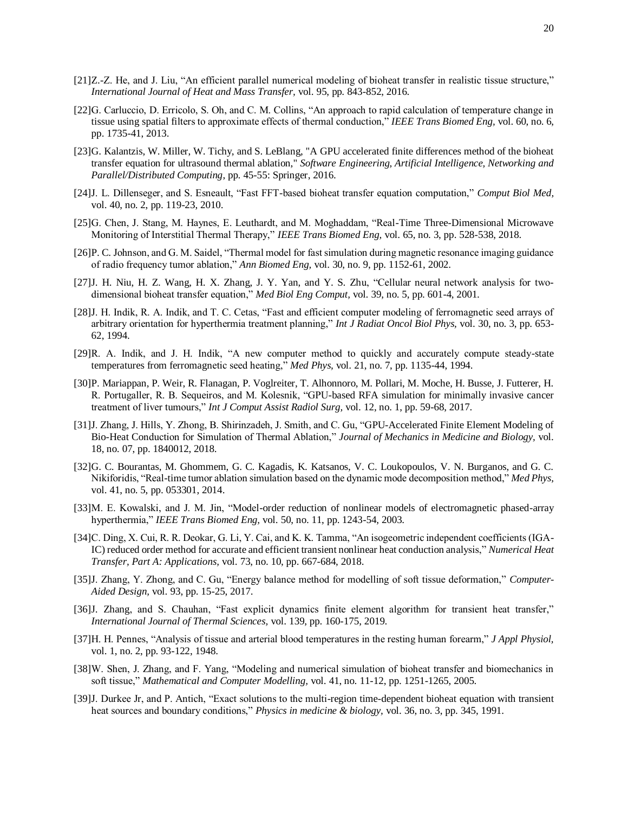- [21]Z.-Z. He, and J. Liu, "An efficient parallel numerical modeling of bioheat transfer in realistic tissue structure," *International Journal of Heat and Mass Transfer,* vol. 95, pp. 843-852, 2016.
- [22]G. Carluccio, D. Erricolo, S. Oh, and C. M. Collins, "An approach to rapid calculation of temperature change in tissue using spatial filters to approximate effects of thermal conduction," *IEEE Trans Biomed Eng,* vol. 60, no. 6, pp. 1735-41, 2013.
- [23]G. Kalantzis, W. Miller, W. Tichy, and S. LeBlang, "A GPU accelerated finite differences method of the bioheat transfer equation for ultrasound thermal ablation," *Software Engineering, Artificial Intelligence, Networking and Parallel/Distributed Computing*, pp. 45-55: Springer, 2016.
- [24]J. L. Dillenseger, and S. Esneault, "Fast FFT-based bioheat transfer equation computation," *Comput Biol Med,* vol. 40, no. 2, pp. 119-23, 2010.
- [25]G. Chen, J. Stang, M. Haynes, E. Leuthardt, and M. Moghaddam, "Real-Time Three-Dimensional Microwave Monitoring of Interstitial Thermal Therapy," *IEEE Trans Biomed Eng,* vol. 65, no. 3, pp. 528-538, 2018.
- [26]P. C. Johnson, and G. M. Saidel, "Thermal model for fast simulation during magnetic resonance imaging guidance of radio frequency tumor ablation," *Ann Biomed Eng,* vol. 30, no. 9, pp. 1152-61, 2002.
- [27]J. H. Niu, H. Z. Wang, H. X. Zhang, J. Y. Yan, and Y. S. Zhu, "Cellular neural network analysis for twodimensional bioheat transfer equation," *Med Biol Eng Comput,* vol. 39, no. 5, pp. 601-4, 2001.
- [28]J. H. Indik, R. A. Indik, and T. C. Cetas, "Fast and efficient computer modeling of ferromagnetic seed arrays of arbitrary orientation for hyperthermia treatment planning," *Int J Radiat Oncol Biol Phys,* vol. 30, no. 3, pp. 653- 62, 1994.
- [29]R. A. Indik, and J. H. Indik, "A new computer method to quickly and accurately compute steady-state temperatures from ferromagnetic seed heating," *Med Phys,* vol. 21, no. 7, pp. 1135-44, 1994.
- [30]P. Mariappan, P. Weir, R. Flanagan, P. Voglreiter, T. Alhonnoro, M. Pollari, M. Moche, H. Busse, J. Futterer, H. R. Portugaller, R. B. Sequeiros, and M. Kolesnik, "GPU-based RFA simulation for minimally invasive cancer treatment of liver tumours," *Int J Comput Assist Radiol Surg,* vol. 12, no. 1, pp. 59-68, 2017.
- [31]J. Zhang, J. Hills, Y. Zhong, B. Shirinzadeh, J. Smith, and C. Gu, "GPU-Accelerated Finite Element Modeling of Bio-Heat Conduction for Simulation of Thermal Ablation," *Journal of Mechanics in Medicine and Biology,* vol. 18, no. 07, pp. 1840012, 2018.
- [32]G. C. Bourantas, M. Ghommem, G. C. Kagadis, K. Katsanos, V. C. Loukopoulos, V. N. Burganos, and G. C. Nikiforidis, "Real-time tumor ablation simulation based on the dynamic mode decomposition method," *Med Phys,* vol. 41, no. 5, pp. 053301, 2014.
- [33]M. E. Kowalski, and J. M. Jin, "Model-order reduction of nonlinear models of electromagnetic phased-array hyperthermia," *IEEE Trans Biomed Eng,* vol. 50, no. 11, pp. 1243-54, 2003.
- [34]C. Ding, X. Cui, R. R. Deokar, G. Li, Y. Cai, and K. K. Tamma, "An isogeometric independent coefficients (IGA-IC) reduced order method for accurate and efficient transient nonlinear heat conduction analysis," *Numerical Heat Transfer, Part A: Applications,* vol. 73, no. 10, pp. 667-684, 2018.
- [35]J. Zhang, Y. Zhong, and C. Gu, "Energy balance method for modelling of soft tissue deformation," *Computer-Aided Design,* vol. 93, pp. 15-25, 2017.
- [36]J. Zhang, and S. Chauhan, "Fast explicit dynamics finite element algorithm for transient heat transfer," *International Journal of Thermal Sciences,* vol. 139, pp. 160-175, 2019.
- [37]H. H. Pennes, "Analysis of tissue and arterial blood temperatures in the resting human forearm," *J Appl Physiol,* vol. 1, no. 2, pp. 93-122, 1948.
- [38]W. Shen, J. Zhang, and F. Yang, "Modeling and numerical simulation of bioheat transfer and biomechanics in soft tissue," *Mathematical and Computer Modelling,* vol. 41, no. 11-12, pp. 1251-1265, 2005.
- [39]J. Durkee Jr, and P. Antich, "Exact solutions to the multi-region time-dependent bioheat equation with transient heat sources and boundary conditions," *Physics in medicine & biology,* vol. 36, no. 3, pp. 345, 1991.